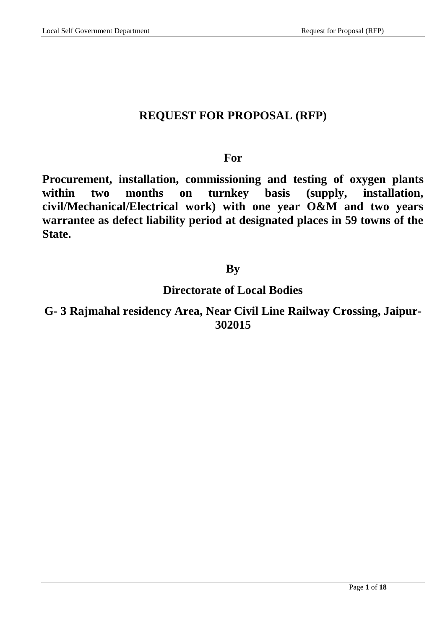# **REQUEST FOR PROPOSAL (RFP)**

# **For**

**Procurement, installation, commissioning and testing of oxygen plants within two months on turnkey basis (supply, installation, civil/Mechanical/Electrical work) with one year O&M and two years warrantee as defect liability period at designated places in 59 towns of the State.**

# **By**

# **Directorate of Local Bodies**

**G- 3 Rajmahal residency Area, Near Civil Line Railway Crossing, Jaipur-302015**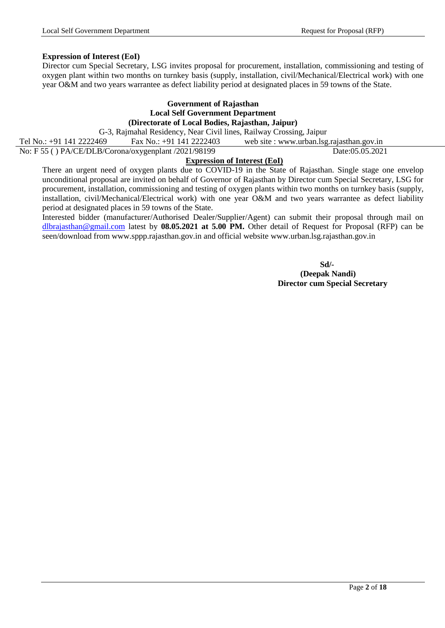## **Expression of Interest (EoI)**

Director cum Special Secretary, LSG invites proposal for procurement, installation, commissioning and testing of oxygen plant within two months on turnkey basis (supply, installation, civil/Mechanical/Electrical work) with one year O&M and two years warrantee as defect liability period at designated places in 59 towns of the State.

#### **Government of Rajasthan Local Self Government Department (Directorate of Local Bodies, Rajasthan, Jaipur)**

G-3, Rajmahal Residency, Near Civil lines, Railway Crossing, Jaipur

Tel No.: +91 141 2222469 Fax No.: +91 141 2222403 web site : www.urban.lsg.rajasthan.gov.in No: F 55 ( ) PA/CE/DLB/Corona/oxygenplant /2021/98199 Date:05.05.2021

## **Expression of Interest (EoI)**

There an urgent need of oxygen plants due to COVID-19 in the State of Rajasthan. Single stage one envelop unconditional proposal are invited on behalf of Governor of Rajasthan by Director cum Special Secretary, LSG for procurement, installation, commissioning and testing of oxygen plants within two months on turnkey basis (supply, installation, civil/Mechanical/Electrical work) with one year O&M and two years warrantee as defect liability period at designated places in 59 towns of the State.

Interested bidder (manufacturer/Authorised Dealer/Supplier/Agent) can submit their proposal through mail on [dlbrajasthan@gmail.com](mailto:dlbrajasthan@gmail.com) latest by **08.05.2021 at 5.00 PM.** Other detail of Request for Proposal (RFP) can be seen/download from www.sppp.rajasthan.gov.in and official website www.urban.lsg.rajasthan.gov.in

 **Sd/- (Deepak Nandi) Director cum Special Secretary**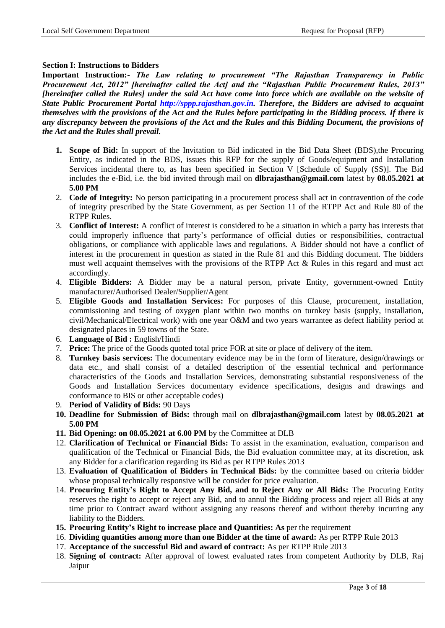## **Section I: Instructions to Bidders**

**Important Instruction:-** *The Law relating to procurement "The Rajasthan Transparency in Public Procurement Act, 2012" [hereinafter called the Act] and the "Rajasthan Public Procurement Rules, 2013" [hereinafter called the Rules] under the said Act have come into force which are available on the website of State Public Procurement Portal http://sppp.rajasthan.gov.in. Therefore, the Bidders are advised to acquaint themselves with the provisions of the Act and the Rules before participating in the Bidding process. If there is any discrepancy between the provisions of the Act and the Rules and this Bidding Document, the provisions of the Act and the Rules shall prevail.*

- **1. Scope of Bid:** In support of the Invitation to Bid indicated in the Bid Data Sheet (BDS),the Procuring Entity, as indicated in the BDS, issues this RFP for the supply of Goods/equipment and Installation Services incidental there to, as has been specified in Section V [Schedule of Supply (SS)]. The Bid includes the e-Bid, i.e. the bid invited through mail on **[dlbrajasthan@gmail.com](mailto:dlbrajasthan@gmail.com)** latest by **08.05.2021 at 5.00 PM**
- 2. **Code of Integrity:** No person participating in a procurement process shall act in contravention of the code of integrity prescribed by the State Government, as per Section 11 of the RTPP Act and Rule 80 of the RTPP Rules.
- 3. **Conflict of Interest:** A conflict of interest is considered to be a situation in which a party has interests that could improperly influence that party"s performance of official duties or responsibilities, contractual obligations, or compliance with applicable laws and regulations. A Bidder should not have a conflict of interest in the procurement in question as stated in the Rule 81 and this Bidding document. The bidders must well acquaint themselves with the provisions of the RTPP Act & Rules in this regard and must act accordingly.
- 4. **Eligible Bidders:** A Bidder may be a natural person, private Entity, government-owned Entity manufacturer/Authorised Dealer/Supplier/Agent
- 5. **Eligible Goods and Installation Services:** For purposes of this Clause, procurement, installation, commissioning and testing of oxygen plant within two months on turnkey basis (supply, installation, civil/Mechanical/Electrical work) with one year O&M and two years warrantee as defect liability period at designated places in 59 towns of the State.
- 6. **Language of Bid :** English/Hindi
- 7. **Price:** The price of the Goods quoted total price FOR at site or place of delivery of the item.
- 8. **Turnkey basis services:** The documentary evidence may be in the form of literature, design/drawings or data etc., and shall consist of a detailed description of the essential technical and performance characteristics of the Goods and Installation Services, demonstrating substantial responsiveness of the Goods and Installation Services documentary evidence specifications, designs and drawings and conformance to BIS or other acceptable codes)
- 9. **Period of Validity of Bids:** 90 Days
- **10. Deadline for Submission of Bids:** through mail on **[dlbrajasthan@gmail.com](mailto:dlbrajasthan@gmail.com)** latest by **08.05.2021 at 5.00 PM**
- **11. Bid Opening: on 08.05.2021 at 6.00 PM** by the Committee at DLB
- 12. **Clarification of Technical or Financial Bids:** To assist in the examination, evaluation, comparison and qualification of the Technical or Financial Bids, the Bid evaluation committee may, at its discretion, ask any Bidder for a clarification regarding its Bid as per RTPP Rules 2013
- 13. **Evaluation of Qualification of Bidders in Technical Bids:** by the committee based on criteria bidder whose proposal technically responsive will be consider for price evaluation.
- 14. **Procuring Entity's Right to Accept Any Bid, and to Reject Any or All Bids:** The Procuring Entity reserves the right to accept or reject any Bid, and to annul the Bidding process and reject all Bids at any time prior to Contract award without assigning any reasons thereof and without thereby incurring any liability to the Bidders.
- **15. Procuring Entity's Right to increase place and Quantities: As** per the requirement
- 16. **Dividing quantities among more than one Bidder at the time of award:** As per RTPP Rule 2013
- 17. **Acceptance of the successful Bid and award of contract:** As per RTPP Rule 2013
- 18. **Signing of contract:** After approval of lowest evaluated rates from competent Authority by DLB, Raj Jaipur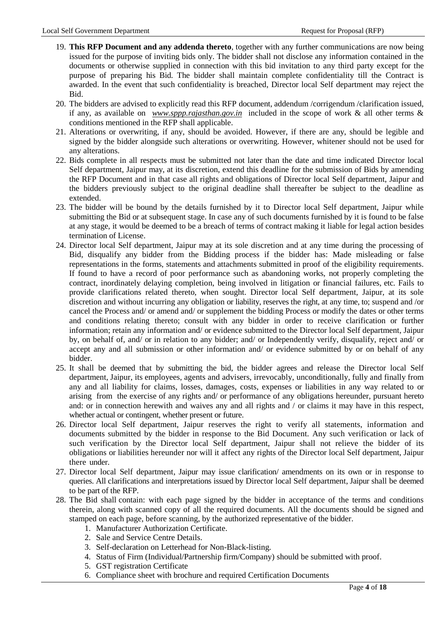- 19. **This RFP Document and any addenda thereto**, together with any further communications are now being issued for the purpose of inviting bids only. The bidder shall not disclose any information contained in the documents or otherwise supplied in connection with this bid invitation to any third party except for the purpose of preparing his Bid. The bidder shall maintain complete confidentiality till the Contract is awarded. In the event that such confidentiality is breached, Director local Self department may reject the Bid.
- 20. The bidders are advised to explicitly read this RFP document, addendum /corrigendum /clarification issued, if any, as available on *[www.sppp.rajasthan.gov.in](http://www.sppp.rajasthan.gov.in/)* included in the scope of work & all other terms & conditions mentioned in the RFP shall applicable.
- 21. Alterations or overwriting, if any, should be avoided. However, if there are any, should be legible and signed by the bidder alongside such alterations or overwriting. However, whitener should not be used for any alterations.
- 22. Bids complete in all respects must be submitted not later than the date and time indicated Director local Self department, Jaipur may, at its discretion, extend this deadline for the submission of Bids by amending the RFP Document and in that case all rights and obligations of Director local Self department, Jaipur and the bidders previously subject to the original deadline shall thereafter be subject to the deadline as extended.
- 23. The bidder will be bound by the details furnished by it to Director local Self department, Jaipur while submitting the Bid or at subsequent stage. In case any of such documents furnished by it is found to be false at any stage, it would be deemed to be a breach of terms of contract making it liable for legal action besides termination of License.
- 24. Director local Self department, Jaipur may at its sole discretion and at any time during the processing of Bid, disqualify any bidder from the Bidding process if the bidder has: Made misleading or false representations in the forms, statements and attachments submitted in proof of the eligibility requirements. If found to have a record of poor performance such as abandoning works, not properly completing the contract, inordinately delaying completion, being involved in litigation or financial failures, etc. Fails to provide clarifications related thereto, when sought. Director local Self department, Jaipur, at its sole discretion and without incurring any obligation or liability, reserves the right, at any time, to; suspend and /or cancel the Process and/ or amend and/ or supplement the bidding Process or modify the dates or other terms and conditions relating thereto; consult with any bidder in order to receive clarification or further information; retain any information and/ or evidence submitted to the Director local Self department, Jaipur by, on behalf of, and/ or in relation to any bidder; and/ or Independently verify, disqualify, reject and/ or accept any and all submission or other information and/ or evidence submitted by or on behalf of any bidder.
- 25. It shall be deemed that by submitting the bid, the bidder agrees and release the Director local Self department, Jaipur, its employees, agents and advisers, irrevocably, unconditionally, fully and finally from any and all liability for claims, losses, damages, costs, expenses or liabilities in any way related to or arising from the exercise of any rights and/ or performance of any obligations hereunder, pursuant hereto and: or in connection herewith and waives any and all rights and / or claims it may have in this respect, whether actual or contingent, whether present or future.
- 26. Director local Self department, Jaipur reserves the right to verify all statements, information and documents submitted by the bidder in response to the Bid Document. Any such verification or lack of such verification by the Director local Self department, Jaipur shall not relieve the bidder of its obligations or liabilities hereunder nor will it affect any rights of the Director local Self department, Jaipur there under.
- 27. Director local Self department, Jaipur may issue clarification/ amendments on its own or in response to queries. All clarifications and interpretations issued by Director local Self department, Jaipur shall be deemed to be part of the RFP.
- 28. The Bid shall contain: with each page signed by the bidder in acceptance of the terms and conditions therein, along with scanned copy of all the required documents. All the documents should be signed and stamped on each page, before scanning, by the authorized representative of the bidder.
	- 1. Manufacturer Authorization Certificate.
	- 2. Sale and Service Centre Details.
	- 3. Self-declaration on Letterhead for Non-Black-listing.
	- 4. Status of Firm (Individual/Partnership firm/Company) should be submitted with proof.
	- 5. GST registration Certificate
	- 6. Compliance sheet with brochure and required Certification Documents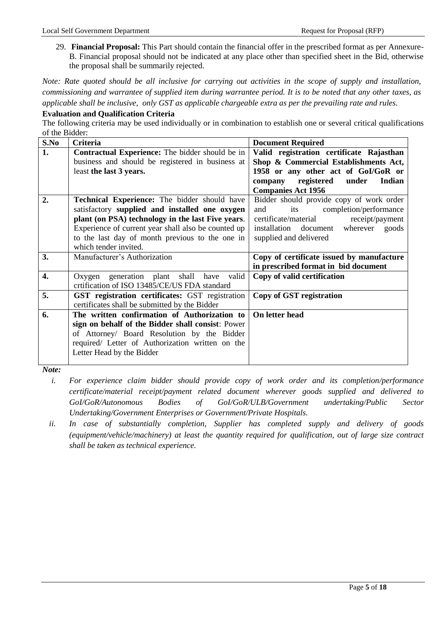29. **Financial Proposal:** This Part should contain the financial offer in the prescribed format as per Annexure-B. Financial proposal should not be indicated at any place other than specified sheet in the Bid, otherwise the proposal shall be summarily rejected.

*Note: Rate quoted should be all inclusive for carrying out activities in the scope of supply and installation, commissioning and warrantee of supplied item during warrantee period. It is to be noted that any other taxes, as applicable shall be inclusive, only GST as applicable chargeable extra as per the prevailing rate and rules.*

#### **Evaluation and Qualification Criteria**

The following criteria may be used individually or in combination to establish one or several critical qualifications of the Bidder:

| S.No             | Criteria                                               | <b>Document Required</b>                  |
|------------------|--------------------------------------------------------|-------------------------------------------|
| 1.               | <b>Contractual Experience:</b> The bidder should be in | Valid registration certificate Rajasthan  |
|                  | business and should be registered in business at       | Shop & Commercial Establishments Act,     |
|                  | least the last 3 years.                                | 1958 or any other act of GoI/GoR or       |
|                  |                                                        | company registered<br>under<br>Indian     |
|                  |                                                        | <b>Companies Act 1956</b>                 |
| 2.               | Technical Experience: The bidder should have           | Bidder should provide copy of work order  |
|                  | satisfactory supplied and installed one oxygen         | its<br>completion/performance<br>and      |
|                  | plant (on PSA) technology in the last Five years.      | certificate/material<br>receipt/payment   |
|                  | Experience of current year shall also be counted up    | installation document wherever goods      |
|                  | to the last day of month previous to the one in        | supplied and delivered                    |
|                  | which tender invited.                                  |                                           |
| 3.               | Manufacturer's Authorization                           | Copy of certificate issued by manufacture |
|                  |                                                        | in prescribed format in bid document      |
| $\overline{4}$ . | Oxygen generation plant shall have valid               | Copy of valid certification               |
|                  | crtification of ISO 13485/CE/US FDA standard           |                                           |
| 5.               | GST registration certificates: GST registration        | Copy of GST registration                  |
|                  | certificates shall be submitted by the Bidder          |                                           |
| 6.               | The written confirmation of Authorization to           | On letter head                            |
|                  | sign on behalf of the Bidder shall consist: Power      |                                           |
|                  | of Attorney/ Board Resolution by the Bidder            |                                           |
|                  | required/ Letter of Authorization written on the       |                                           |
|                  | Letter Head by the Bidder                              |                                           |
|                  |                                                        |                                           |

*Note:* 

- *i. For experience claim bidder should provide copy of work order and its completion/performance certificate/material receipt/payment related document wherever goods supplied and delivered to GoI/GoR/Autonomous Bodies of GoI/GoR/ULB/Government undertaking/Public Sector Undertaking/Government Enterprises or Government/Private Hospitals.*
- *ii. In case of substantially completion, Supplier has completed supply and delivery of goods (equipment/vehicle/machinery) at least the quantity required for qualification, out of large size contract shall be taken as technical experience.*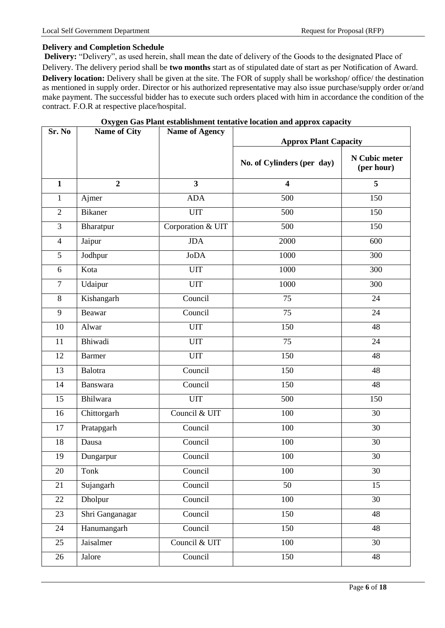# **Delivery and Completion Schedule**

**Delivery:** "Delivery", as used herein, shall mean the date of delivery of the Goods to the designated Place of Delivery. The delivery period shall be **two months** start as of stipulated date of start as per Notification of Award. **Delivery location:** Delivery shall be given at the site. The FOR of supply shall be workshop/ office/ the destination as mentioned in supply order. Director or his authorized representative may also issue purchase/supply order or/and make payment. The successful bidder has to execute such orders placed with him in accordance the condition of the contract. F.O.R at respective place/hospital.

| Sr. No         | <b>Name of City</b> | <b>Name of Agency</b> | <b>Approx Plant Capacity</b> |                             |  |  |
|----------------|---------------------|-----------------------|------------------------------|-----------------------------|--|--|
|                |                     |                       | No. of Cylinders (per day)   | N Cubic meter<br>(per hour) |  |  |
| $\mathbf{1}$   | $\overline{2}$      | 3                     | $\overline{\mathbf{4}}$      | 5                           |  |  |
| $\mathbf{1}$   | Ajmer               | <b>ADA</b>            | 500                          | 150                         |  |  |
| $\overline{2}$ | <b>Bikaner</b>      | <b>UIT</b>            | 500                          | 150                         |  |  |
| $\overline{3}$ | Bharatpur           | Corporation & UIT     | 500                          | 150                         |  |  |
| $\overline{4}$ | Jaipur              | <b>JDA</b>            | 2000                         | 600                         |  |  |
| 5              | Jodhpur             | <b>JoDA</b>           | 1000                         | 300                         |  |  |
| 6              | Kota                | <b>UIT</b>            | 1000                         | 300                         |  |  |
| $\overline{7}$ | Udaipur             | <b>UIT</b>            | 1000                         | 300                         |  |  |
| 8              | Kishangarh          | Council               | $\overline{75}$              | 24                          |  |  |
| 9              | Beawar              | Council               | 75                           | 24                          |  |  |
| 10             | Alwar               | <b>UIT</b>            | 150                          | 48                          |  |  |
| 11             | Bhiwadi             | <b>UIT</b>            | $\overline{75}$              | $\overline{24}$             |  |  |
| 12             | <b>Barmer</b>       | <b>UIT</b>            | 150                          | 48                          |  |  |
| 13             | <b>Balotra</b>      | Council               | 150                          | 48                          |  |  |
| 14             | Banswara            | Council               | 150                          | 48                          |  |  |
| 15             | Bhilwara            | <b>UIT</b>            | 500                          | 150                         |  |  |
| 16             | Chittorgarh         | Council & UIT         | 100                          | 30                          |  |  |
| 17             | Pratapgarh          | Council               | 100                          | 30                          |  |  |
| 18             | Dausa               | Council               | 100                          | 30                          |  |  |
| 19             | Dungarpur           | Council               | 100                          | 30                          |  |  |
| 20             | Tonk                | Council               | 100                          | 30                          |  |  |
| 21             | Sujangarh           | Council               | $\overline{50}$              | $\overline{15}$             |  |  |
| 22             | Dholpur             | Council               | 100                          | $\overline{30}$             |  |  |
| 23             | Shri Ganganagar     | Council               | 150                          | 48                          |  |  |
| 24             | Hanumangarh         | Council               | 150                          | 48                          |  |  |
| 25             | Jaisalmer           | Council & UIT         | 100                          | $\overline{30}$             |  |  |
| 26             | Jalore              | Council               | 150                          | $\overline{48}$             |  |  |
|                |                     |                       |                              |                             |  |  |

## **Oxygen Gas Plant establishment tentative location and approx capacity**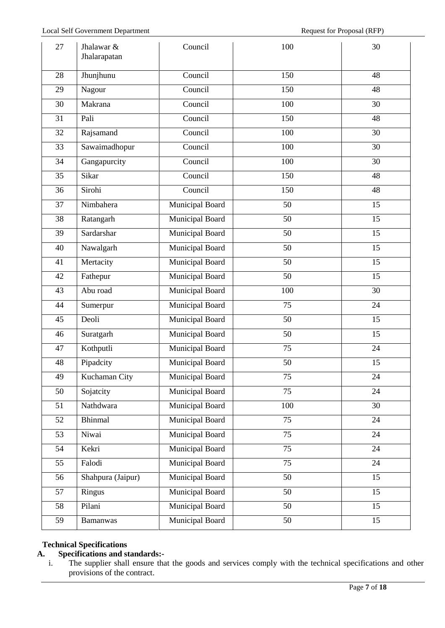| 27 | Jhalawar &<br>Jhalarapatan | Council                | 100             | 30              |
|----|----------------------------|------------------------|-----------------|-----------------|
| 28 | Jhunjhunu                  | Council                | 150             | 48              |
| 29 | Nagour                     | Council                | 150             | 48              |
| 30 | Makrana                    | Council                | 100             | 30              |
| 31 | Pali                       | Council                | 150             | 48              |
| 32 | Rajsamand                  | Council                | 100             | 30              |
| 33 | Sawaimadhopur              | Council                | 100             | 30              |
| 34 | Gangapurcity               | Council                | 100             | 30              |
| 35 | Sikar                      | Council                | 150             | 48              |
| 36 | Sirohi                     | Council                | 150             | 48              |
| 37 | Nimbahera                  | Municipal Board        | 50              | 15              |
| 38 | Ratangarh                  | <b>Municipal Board</b> | 50              | 15              |
| 39 | Sardarshar                 | Municipal Board        | 50              | 15              |
| 40 | Nawalgarh                  | Municipal Board        | 50              | 15              |
| 41 | Mertacity                  | Municipal Board        | $\overline{50}$ | $\overline{15}$ |
| 42 | Fathepur                   | <b>Municipal Board</b> | 50              | 15              |
| 43 | Abu road                   | Municipal Board        | 100             | 30              |
| 44 | Sumerpur                   | <b>Municipal Board</b> | $\overline{75}$ | 24              |
| 45 | Deoli                      | Municipal Board        | 50              | 15              |
| 46 | Suratgarh                  | Municipal Board        | 50              | 15              |
| 47 | Kothputli                  | Municipal Board        | 75              | 24              |
| 48 | Pipadcity                  | Municipal Board        | 50              | 15              |
| 49 | Kuchaman City              | Municipal Board        | 75              | 24              |
| 50 | Sojatcity                  | Municipal Board        | $\overline{75}$ | 24              |
| 51 | Nathdwara                  | Municipal Board        | 100             | 30              |
| 52 | <b>Bhinmal</b>             | Municipal Board        | 75              | 24              |
| 53 | Niwai                      | Municipal Board        | 75              | 24              |
| 54 | Kekri                      | Municipal Board        | 75              | 24              |
| 55 | Falodi                     | Municipal Board        | $\overline{75}$ | 24              |
| 56 | Shahpura (Jaipur)          | <b>Municipal Board</b> | 50              | 15              |
| 57 | Ringus                     | Municipal Board        | 50              | 15              |
| 58 | Pilani                     | Municipal Board        | 50              | 15              |
| 59 | Bamanwas                   | Municipal Board        | 50              | 15              |

# **Technical Specifications**

# **A. Specifications and standards:-**

i. The supplier shall ensure that the goods and services comply with the technical specifications and other provisions of the contract.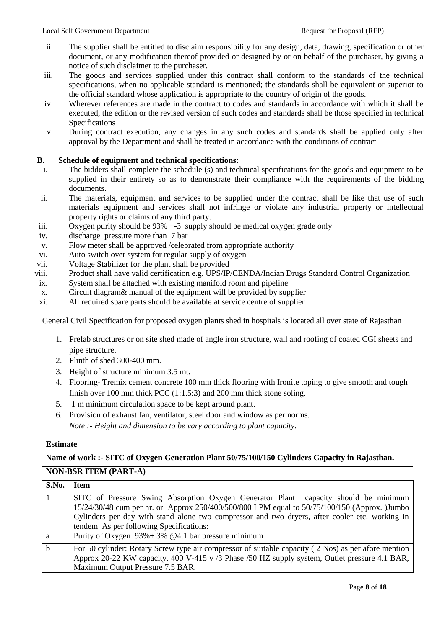- ii. The supplier shall be entitled to disclaim responsibility for any design, data, drawing, specification or other document, or any modification thereof provided or designed by or on behalf of the purchaser, by giving a notice of such disclaimer to the purchaser.
- iii. The goods and services supplied under this contract shall conform to the standards of the technical specifications, when no applicable standard is mentioned; the standards shall be equivalent or superior to the official standard whose application is appropriate to the country of origin of the goods.
- iv. Wherever references are made in the contract to codes and standards in accordance with which it shall be executed, the edition or the revised version of such codes and standards shall be those specified in technical Specifications
- v. During contract execution, any changes in any such codes and standards shall be applied only after approval by the Department and shall be treated in accordance with the conditions of contract

# **B. Schedule of equipment and technical specifications:**

- i. The bidders shall complete the schedule (s) and technical specifications for the goods and equipment to be supplied in their entirety so as to demonstrate their compliance with the requirements of the bidding documents.
- ii. The materials, equipment and services to be supplied under the contract shall be like that use of such materials equipment and services shall not infringe or violate any industrial property or intellectual property rights or claims of any third party.
- iii. Oxygen purity should be  $93\% +3$  supply should be medical oxygen grade only
- iv. discharge pressure more than 7 bar
- v. Flow meter shall be approved /celebrated from appropriate authority
- vi. Auto switch over system for regular supply of oxygen
- vii. Voltage Stabilizer for the plant shall be provided
- viii. Product shall have valid certification e.g. UPS/IP/CENDA/Indian Drugs Standard Control Organization
- ix. System shall be attached with existing manifold room and pipeline
- x. Circuit diagram& manual of the equipment will be provided by supplier
- xi. All required spare parts should be available at service centre of supplier

General Civil Specification for proposed oxygen plants shed in hospitals is located all over state of Rajasthan

- 1. Prefab structures or on site shed made of angle iron structure, wall and roofing of coated CGI sheets and pipe structure.
- 2. Plinth of shed 300-400 mm.
- 3. Height of structure minimum 3.5 mt.
- 4. Flooring- Tremix cement concrete 100 mm thick flooring with Ironite toping to give smooth and tough finish over 100 mm thick PCC (1:1.5:3) and 200 mm thick stone soling.
- 5. 1 m minimum circulation space to be kept around plant.
- 6. Provision of exhaust fan, ventilator, steel door and window as per norms. *Note :- Height and dimension to be vary according to plant capacity.*

#### **Estimate**

#### **Name of work :- SITC of Oxygen Generation Plant 50/75/100/150 Cylinders Capacity in Rajasthan.**

### **NON-BSR ITEM (PART-A)**

| S.No.       | Item                                                                                                |
|-------------|-----------------------------------------------------------------------------------------------------|
|             | SITC of Pressure Swing Absorption Oxygen Generator Plant capacity should be minimum                 |
|             | 15/24/30/48 cum per hr. or Approx 250/400/500/800 LPM equal to 50/75/100/150 (Approx. )Jumbo        |
|             | Cylinders per day with stand alone two compressor and two dryers, after cooler etc. working in      |
|             | tendem As per following Specifications:                                                             |
| a           | Purity of Oxygen $93\% \pm 3\%$ @4.1 bar pressure minimum                                           |
| $\mathbf b$ | For 50 cylinder: Rotary Screw type air compressor of suitable capacity (2 Nos) as per afore mention |
|             | Approx 20-22 KW capacity, 400 V-415 v /3 Phase /50 HZ supply system, Outlet pressure 4.1 BAR,       |
|             | Maximum Output Pressure 7.5 BAR.                                                                    |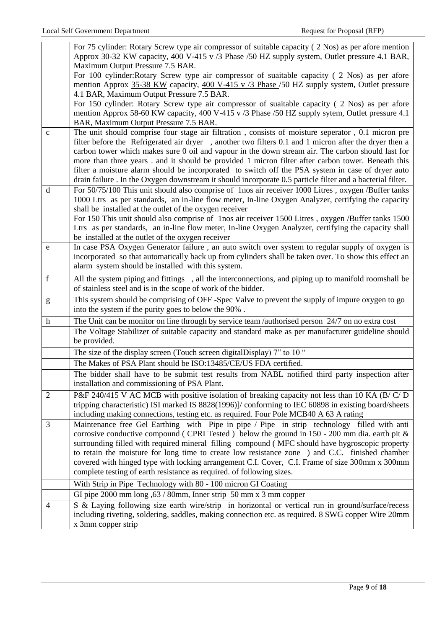|                                                                                                                                                                                                                                                                                                                                                                                                                                | For 75 cylinder: Rotary Screw type air compressor of suitable capacity (2 Nos) as per afore mention<br>Approx 30-32 KW capacity, 400 V-415 v /3 Phase /50 HZ supply system, Outlet pressure 4.1 BAR,           |
|--------------------------------------------------------------------------------------------------------------------------------------------------------------------------------------------------------------------------------------------------------------------------------------------------------------------------------------------------------------------------------------------------------------------------------|----------------------------------------------------------------------------------------------------------------------------------------------------------------------------------------------------------------|
|                                                                                                                                                                                                                                                                                                                                                                                                                                | Maximum Output Pressure 7.5 BAR.                                                                                                                                                                               |
|                                                                                                                                                                                                                                                                                                                                                                                                                                | For 100 cylinder: Rotary Screw type air compressor of suaitable capacity (2 Nos) as per afore                                                                                                                  |
|                                                                                                                                                                                                                                                                                                                                                                                                                                | mention Approx 35-38 KW capacity, 400 V-415 v /3 Phase /50 HZ supply system, Outlet pressure                                                                                                                   |
|                                                                                                                                                                                                                                                                                                                                                                                                                                | 4.1 BAR, Maximum Output Pressure 7.5 BAR.                                                                                                                                                                      |
|                                                                                                                                                                                                                                                                                                                                                                                                                                | For 150 cylinder: Rotary Screw type air compressor of suaitable capacity (2 Nos) as per afore                                                                                                                  |
|                                                                                                                                                                                                                                                                                                                                                                                                                                | mention Approx 58-60 KW capacity, 400 V-415 v /3 Phase /50 HZ supply sytem, Outlet pressure 4.1                                                                                                                |
|                                                                                                                                                                                                                                                                                                                                                                                                                                | BAR, Maximum Output Pressure 7.5 BAR.                                                                                                                                                                          |
| $\mathbf c$                                                                                                                                                                                                                                                                                                                                                                                                                    | The unit should comprise four stage air filtration, consists of moisture seperator, 0.1 micron pre                                                                                                             |
|                                                                                                                                                                                                                                                                                                                                                                                                                                | filter before the Refrigerated air dryer, another two filters 0.1 and 1 micron after the dryer then a                                                                                                          |
|                                                                                                                                                                                                                                                                                                                                                                                                                                | carbon tower which makes sure 0 oil and vapour in the down stream air. The carbon should last for                                                                                                              |
|                                                                                                                                                                                                                                                                                                                                                                                                                                | more than three years . and it should be provided 1 micron filter after carbon tower. Beneath this                                                                                                             |
|                                                                                                                                                                                                                                                                                                                                                                                                                                | filter a moisture alarm should be incorporated to switch off the PSA system in case of dryer auto<br>drain failure. In the Oxygen downstream it should incorporate 0.5 particle filter and a bacterial filter. |
| d                                                                                                                                                                                                                                                                                                                                                                                                                              | For 50/75/100 This unit should also comprise of 1nos air receiver 1000 Litres, oxygen /Buffer tanks                                                                                                            |
|                                                                                                                                                                                                                                                                                                                                                                                                                                | 1000 Ltrs as per standards, an in-line flow meter, In-line Oxygen Analyzer, certifying the capacity                                                                                                            |
|                                                                                                                                                                                                                                                                                                                                                                                                                                | shall be installed at the outlet of the oxygen receiver                                                                                                                                                        |
|                                                                                                                                                                                                                                                                                                                                                                                                                                | For 150 This unit should also comprise of 1nos air receiver 1500 Litres, oxygen /Buffer tanks 1500                                                                                                             |
|                                                                                                                                                                                                                                                                                                                                                                                                                                | Ltrs as per standards, an in-line flow meter, In-line Oxygen Analyzer, certifying the capacity shall                                                                                                           |
|                                                                                                                                                                                                                                                                                                                                                                                                                                | be installed at the outlet of the oxygen receiver                                                                                                                                                              |
| e                                                                                                                                                                                                                                                                                                                                                                                                                              | In case PSA Oxygen Generator failure, an auto switch over system to regular supply of oxygen is                                                                                                                |
|                                                                                                                                                                                                                                                                                                                                                                                                                                | incorporated so that automatically back up from cylinders shall be taken over. To show this effect an                                                                                                          |
|                                                                                                                                                                                                                                                                                                                                                                                                                                | alarm system should be installed with this system.                                                                                                                                                             |
| $\mathbf f$                                                                                                                                                                                                                                                                                                                                                                                                                    | All the system piping and fittings , all the interconnections, and piping up to manifold roomshall be                                                                                                          |
|                                                                                                                                                                                                                                                                                                                                                                                                                                | of stainless steel and is in the scope of work of the bidder.                                                                                                                                                  |
| $\mathbf{g}% _{T}=\mathbf{g}_{T}=\mathbf{g}_{T}=\mathbf{g}_{T}=\mathbf{g}_{T}=\mathbf{g}_{T}=\mathbf{g}_{T}=\mathbf{g}_{T}=\mathbf{g}_{T}=\mathbf{g}_{T}=\mathbf{g}_{T}=\mathbf{g}_{T}=\mathbf{g}_{T}=\mathbf{g}_{T}=\mathbf{g}_{T}=\mathbf{g}_{T}=\mathbf{g}_{T}=\mathbf{g}_{T}=\mathbf{g}_{T}=\mathbf{g}_{T}=\mathbf{g}_{T}=\mathbf{g}_{T}=\mathbf{g}_{T}=\mathbf{g}_{T}=\mathbf{g}_{T}=\mathbf{g}_{T}=\mathbf{g}_{T}=\math$ | This system should be comprising of OFF-Spec Valve to prevent the supply of impure oxygen to go                                                                                                                |
|                                                                                                                                                                                                                                                                                                                                                                                                                                | into the system if the purity goes to below the 90%.                                                                                                                                                           |
| $\boldsymbol{h}$                                                                                                                                                                                                                                                                                                                                                                                                               | The Unit can be monitor on line through by service team /authorised person 24/7 on no extra cost                                                                                                               |
|                                                                                                                                                                                                                                                                                                                                                                                                                                | The Voltage Stabilizer of suitable capacity and standard make as per manufacturer guideline should                                                                                                             |
|                                                                                                                                                                                                                                                                                                                                                                                                                                | be provided.                                                                                                                                                                                                   |
|                                                                                                                                                                                                                                                                                                                                                                                                                                | The size of the display screen (Touch screen digital Display) 7" to 10 "                                                                                                                                       |
|                                                                                                                                                                                                                                                                                                                                                                                                                                | The Makes of PSA Plant should be ISO:13485/CE/US FDA certified.                                                                                                                                                |
|                                                                                                                                                                                                                                                                                                                                                                                                                                | The bidder shall have to be submit test results from NABL notified third party inspection after                                                                                                                |
|                                                                                                                                                                                                                                                                                                                                                                                                                                | installation and commissioning of PSA Plant.                                                                                                                                                                   |
| $\overline{2}$                                                                                                                                                                                                                                                                                                                                                                                                                 | P&F 240/415 V AC MCB with positive isolation of breaking capacity not less than 10 KA (B/C/D)                                                                                                                  |
|                                                                                                                                                                                                                                                                                                                                                                                                                                | tripping characteristic) ISI marked IS 8828(1996)]/ conforming to IEC 60898 in existing board/sheets                                                                                                           |
|                                                                                                                                                                                                                                                                                                                                                                                                                                | including making connections, testing etc. as required. Four Pole MCB40 A 63 A rating                                                                                                                          |
| 3                                                                                                                                                                                                                                                                                                                                                                                                                              | Maintenance free Gel Earthing with Pipe in pipe / Pipe in strip technology filled with anti                                                                                                                    |
|                                                                                                                                                                                                                                                                                                                                                                                                                                | corrosive conductive compound (CPRI Tested) below the ground in $150 - 200$ mm dia. earth pit &                                                                                                                |
|                                                                                                                                                                                                                                                                                                                                                                                                                                | surrounding filled with required mineral filling compound (MFC should have hygroscopic property                                                                                                                |
|                                                                                                                                                                                                                                                                                                                                                                                                                                | to retain the moisture for long time to create low resistance zone ) and C.C. finished chamber<br>covered with hinged type with locking arrangement C.I. Cover, C.I. Frame of size 300mm x 300mm               |
|                                                                                                                                                                                                                                                                                                                                                                                                                                | complete testing of earth resistance as required. of following sizes.                                                                                                                                          |
|                                                                                                                                                                                                                                                                                                                                                                                                                                | With Strip in Pipe Technology with 80 - 100 micron GI Coating                                                                                                                                                  |
|                                                                                                                                                                                                                                                                                                                                                                                                                                | GI pipe $2000$ mm long , $63 / 80$ mm, Inner strip 50 mm x 3 mm copper                                                                                                                                         |
| $\overline{4}$                                                                                                                                                                                                                                                                                                                                                                                                                 | S & Laying following size earth wire/strip in horizontal or vertical run in ground/surface/recess                                                                                                              |
|                                                                                                                                                                                                                                                                                                                                                                                                                                | including riveting, soldering, saddles, making connection etc. as required. 8 SWG copper Wire 20mm                                                                                                             |
|                                                                                                                                                                                                                                                                                                                                                                                                                                | x 3mm copper strip                                                                                                                                                                                             |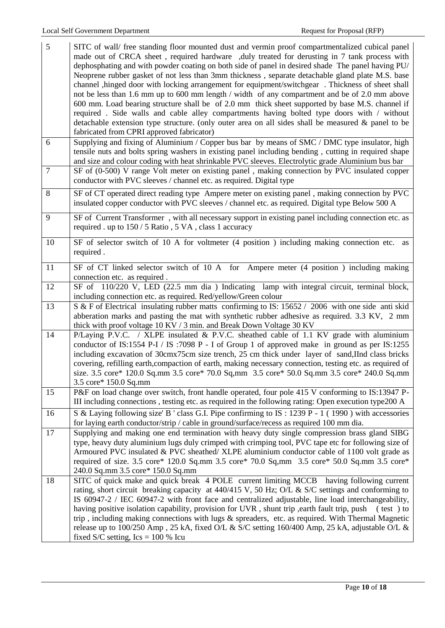| $\mathfrak{S}$      | SITC of wall/ free standing floor mounted dust and vermin proof compartmentalized cubical panel<br>made out of CRCA sheet, required hardware, duly treated for derusting in 7 tank process with<br>dephosphating and with powder coating on both side of panel in desired shade The panel having PU/<br>Neoprene rubber gasket of not less than 3mm thickness, separate detachable gland plate M.S. base<br>channel , hinged door with locking arrangement for equipment/switchgear . Thickness of sheet shall<br>not be less than 1.6 mm up to 600 mm length / width of any compartment and be of 2.0 mm above<br>600 mm. Load bearing structure shall be of 2.0 mm thick sheet supported by base M.S. channel if<br>required. Side walls and cable alley compartments having bolted type doors with / without<br>detachable extension type structure. (only outer area on all sides shall be measured $\&$ panel to be<br>fabricated from CPRI approved fabricator) |
|---------------------|-----------------------------------------------------------------------------------------------------------------------------------------------------------------------------------------------------------------------------------------------------------------------------------------------------------------------------------------------------------------------------------------------------------------------------------------------------------------------------------------------------------------------------------------------------------------------------------------------------------------------------------------------------------------------------------------------------------------------------------------------------------------------------------------------------------------------------------------------------------------------------------------------------------------------------------------------------------------------|
| 6<br>$\overline{7}$ | Supplying and fixing of Aluminium / Copper bus bar by means of SMC / DMC type insulator, high<br>tensile nuts and bolts spring washers in existing panel including bending, cutting in required shape<br>and size and colour coding with heat shrinkable PVC sleeves. Electrolytic grade Aluminium bus bar                                                                                                                                                                                                                                                                                                                                                                                                                                                                                                                                                                                                                                                            |
|                     | SF of $(0-500)$ V range Volt meter on existing panel, making connection by PVC insulated copper<br>conductor with PVC sleeves / channel etc. as required. Digital type                                                                                                                                                                                                                                                                                                                                                                                                                                                                                                                                                                                                                                                                                                                                                                                                |
| 8                   | SF of CT operated direct reading type Ampere meter on existing panel, making connection by PVC<br>insulated copper conductor with PVC sleeves / channel etc. as required. Digital type Below 500 A                                                                                                                                                                                                                                                                                                                                                                                                                                                                                                                                                                                                                                                                                                                                                                    |
| 9                   | SF of Current Transformer, with all necessary support in existing panel including connection etc. as<br>required . up to 150 / 5 Ratio, 5 VA, class 1 accuracy                                                                                                                                                                                                                                                                                                                                                                                                                                                                                                                                                                                                                                                                                                                                                                                                        |
| 10                  | SF of selector switch of 10 A for voltmeter (4 position) including making connection etc. as<br>required.                                                                                                                                                                                                                                                                                                                                                                                                                                                                                                                                                                                                                                                                                                                                                                                                                                                             |
| 11                  | SF of CT linked selector switch of 10 A for Ampere meter (4 position) including making<br>connection etc. as required.                                                                                                                                                                                                                                                                                                                                                                                                                                                                                                                                                                                                                                                                                                                                                                                                                                                |
| 12                  | SF of 110/220 V, LED (22.5 mm dia) Indicating lamp with integral circuit, terminal block,<br>including connection etc. as required. Red/yellow/Green colour                                                                                                                                                                                                                                                                                                                                                                                                                                                                                                                                                                                                                                                                                                                                                                                                           |
| 13                  | S & F of Electrical insulating rubber matts confirming to IS: 15652 / 2006 with one side anti skid<br>abberation marks and pasting the mat with synthetic rubber adhesive as required. 3.3 KV, 2 mm<br>thick with proof voltage 10 KV / 3 min. and Break Down Voltage 30 KV                                                                                                                                                                                                                                                                                                                                                                                                                                                                                                                                                                                                                                                                                           |
| 14                  | P/Laying P.V.C. / XLPE insulated & P.V.C. sheathed cable of 1.1 KV grade with aluminium<br>conductor of IS:1554 P-I / IS:7098 P - I of Group 1 of approved make in ground as per IS:1255<br>including excavation of 30cmx75cm size trench, 25 cm thick under layer of sand, IInd class bricks<br>covering, refilling earth, compaction of earth, making necessary connection, testing etc. as required of<br>size. 3.5 core* 120.0 Sq.mm 3.5 core* 70.0 Sq.mm 3.5 core* 50.0 Sq.mm 3.5 core* 240.0 Sq.mm<br>3.5 core* 150.0 Sq.mm                                                                                                                                                                                                                                                                                                                                                                                                                                     |
| 15                  | P&F on load change over switch, front handle operated, four pole 415 V conforming to IS:13947 P-<br>III including connections, testing etc. as required in the following rating: Open execution type200 A                                                                                                                                                                                                                                                                                                                                                                                                                                                                                                                                                                                                                                                                                                                                                             |
| 16                  | S & Laying following size' B ' class G.I. Pipe confirming to IS : 1239 P - 1 (1990) with accessories<br>for laying earth conductor/strip / cable in ground/surface/recess as required 100 mm dia.                                                                                                                                                                                                                                                                                                                                                                                                                                                                                                                                                                                                                                                                                                                                                                     |
| 17                  | Supplying and making one end termination with heavy duty single compression brass gland SIBG<br>type, heavy duty aluminium lugs duly crimped with crimping tool, PVC tape etc for following size of<br>Armoured PVC insulated & PVC sheathed/ XLPE aluminium conductor cable of 1100 volt grade as<br>required of size. 3.5 core* 120.0 Sq.mm 3.5 core* 70.0 Sq,mm 3.5 core* 50.0 Sq.mm 3.5 core*<br>240.0 Sq.mm 3.5 core* 150.0 Sq.mm                                                                                                                                                                                                                                                                                                                                                                                                                                                                                                                                |
| 18                  | SITC of quick make and quick break 4 POLE current limiting MCCB having following current<br>rating, short circuit breaking capacity at 440/415 V, 50 Hz; O/L & S/C settings and conforming to<br>IS 60947-2 / IEC 60947-2 with front face and centralized adjustable, line load interchangeability,<br>having positive isolation capability, provision for UVR, shunt trip, earth fault trip, push (test) to<br>trip, including making connections with lugs & spreaders, etc. as required. With Thermal Magnetic<br>release up to 100/250 Amp, 25 kA, fixed O/L & S/C setting 160/400 Amp, 25 kA, adjustable O/L &<br>fixed S/C setting, $\text{Ics} = 100\%$ Icu                                                                                                                                                                                                                                                                                                    |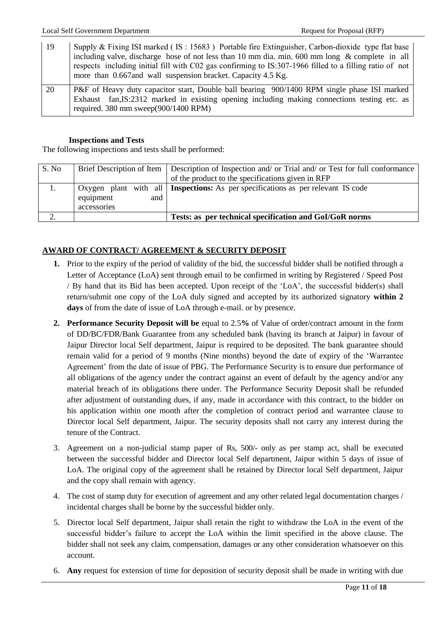| 19 | Supply & Fixing ISI marked (IS: 15683) Portable fire Extinguisher, Carbon-dioxide type flat base        |
|----|---------------------------------------------------------------------------------------------------------|
|    | including valve, discharge hose of not less than 10 mm dia, min. 600 mm long & complete in all          |
|    | respects including initial fill with C02 gas confirming to IS:307-1966 filled to a filling ratio of not |
|    | more than 0.667 and wall suspension bracket. Capacity 4.5 Kg.                                           |
| 20 | P&F of Heavy duty capacitor start, Double ball bearing 900/1400 RPM single phase ISI marked             |
|    | Exhaust fan, IS:2312 marked in existing opening including making connections testing etc. as            |
|    | required. $380 \text{ mm}$ sweep $(900/1400 \text{ RPM})$                                               |

## **Inspections and Tests**

The following inspections and tests shall be performed:

| S. No |                                   | Brief Description of Item   Description of Inspection and/ or Trial and/ or Test for full conformance<br>of the product to the specifications given in RFP |  |  |  |
|-------|-----------------------------------|------------------------------------------------------------------------------------------------------------------------------------------------------------|--|--|--|
| 1.    | and 1<br>equipment<br>accessories | Oxygen plant with all <b>Inspections:</b> As per specifications as per relevant IS code                                                                    |  |  |  |
|       |                                   | Tests: as per technical specification and GoI/GoR norms                                                                                                    |  |  |  |

# **AWARD OF CONTRACT/ AGREEMENT & SECURITY DEPOSIT**

- **1.** Prior to the expiry of the period of validity of the bid, the successful bidder shall be notified through a Letter of Acceptance (LoA) sent through email to be confirmed in writing by Registered / Speed Post / By hand that its Bid has been accepted. Upon receipt of the "LoA", the successful bidder(s) shall return/submit one copy of the LoA duly signed and accepted by its authorized signatory **within 2 days** of from the date of issue of LoA through e-mail. or by presence.
- **2. Performance Security Deposit will be** equal to 2.5**%** of Value of order/contract amount in the form of DD/BC/FDR/Bank Guarantee from any scheduled bank (having its branch at Jaipur) in favour of Jaipur Director local Self department, Jaipur is required to be deposited. The bank guarantee should remain valid for a period of 9 months (Nine months) beyond the date of expiry of the "Warrantee Agreement" from the date of issue of PBG. The Performance Security is to ensure due performance of all obligations of the agency under the contract against an event of default by the agency and/or any material breach of its obligations there under. The Performance Security Deposit shall be refunded after adjustment of outstanding dues, if any, made in accordance with this contract, to the bidder on his application within one month after the completion of contract period and warrantee clause to Director local Self department, Jaipur. The security deposits shall not carry any interest during the tenure of the Contract.
- 3. Agreement on a non-judicial stamp paper of Rs, 500/- only as per stamp act, shall be executed between the successful bidder and Director local Self department, Jaipur within 5 days of issue of LoA. The original copy of the agreement shall be retained by Director local Self department, Jaipur and the copy shall remain with agency.
- 4. The cost of stamp duty for execution of agreement and any other related legal documentation charges / incidental charges shall be borne by the successful bidder only.
- 5. Director local Self department, Jaipur shall retain the right to withdraw the LoA in the event of the successful bidder"s failure to accept the LoA within the limit specified in the above clause. The bidder shall not seek any claim, compensation, damages or any other consideration whatsoever on this account.
- 6. **Any** request for extension of time for deposition of security deposit shall be made in writing with due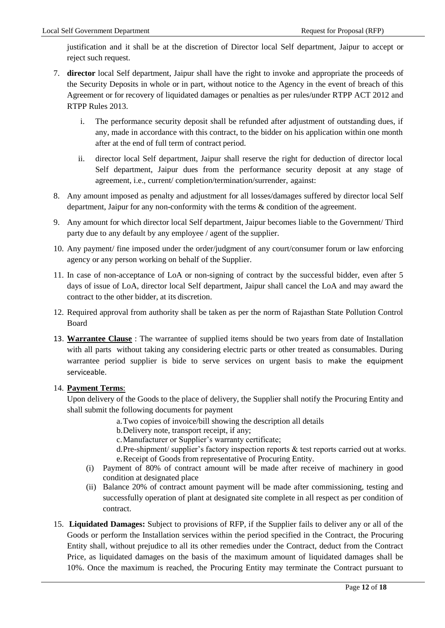justification and it shall be at the discretion of Director local Self department, Jaipur to accept or reject such request.

- 7. **director** local Self department, Jaipur shall have the right to invoke and appropriate the proceeds of the Security Deposits in whole or in part, without notice to the Agency in the event of breach of this Agreement or for recovery of liquidated damages or penalties as per rules/under RTPP ACT 2012 and RTPP Rules 2013.
	- i. The performance security deposit shall be refunded after adjustment of outstanding dues, if any, made in accordance with this contract, to the bidder on his application within one month after at the end of full term of contract period.
	- ii. director local Self department, Jaipur shall reserve the right for deduction of director local Self department, Jaipur dues from the performance security deposit at any stage of agreement, i.e., current/ completion/termination/surrender, against:
- 8. Any amount imposed as penalty and adjustment for all losses/damages suffered by director local Self department, Jaipur for any non-conformity with the terms & condition of the agreement.
- 9. Any amount for which director local Self department, Jaipur becomes liable to the Government/ Third party due to any default by any employee / agent of the supplier.
- 10. Any payment/ fine imposed under the order/judgment of any court/consumer forum or law enforcing agency or any person working on behalf of the Supplier.
- 11. In case of non-acceptance of LoA or non-signing of contract by the successful bidder, even after 5 days of issue of LoA, director local Self department, Jaipur shall cancel the LoA and may award the contract to the other bidder, at its discretion.
- 12. Required approval from authority shall be taken as per the norm of Rajasthan State Pollution Control Board
- 13. **Warrantee Clause** : The warrantee of supplied items should be two years from date of Installation with all parts without taking any considering electric parts or other treated as consumables. During warrantee period supplier is bide to serve services on urgent basis to make the equipment serviceable.

# 14. **Payment Terms**:

Upon delivery of the Goods to the place of delivery, the Supplier shall notify the Procuring Entity and shall submit the following documents for payment

- a.Two copies of invoice/bill showing the description all details
- b.Delivery note, transport receipt, if any;
- c.Manufacturer or Supplier"s warranty certificate;
- d.Pre-shipment/ supplier's factory inspection reports & test reports carried out at works. e.Receipt of Goods from representative of Procuring Entity.
- (i) Payment of 80% of contract amount will be made after receive of machinery in good condition at designated place
- (ii) Balance 20% of contract amount payment will be made after commissioning, testing and successfully operation of plant at designated site complete in all respect as per condition of contract.
- 15. **Liquidated Damages:** Subject to provisions of RFP, if the Supplier fails to deliver any or all of the Goods or perform the Installation services within the period specified in the Contract, the Procuring Entity shall, without prejudice to all its other remedies under the Contract, deduct from the Contract Price, as liquidated damages on the basis of the maximum amount of liquidated damages shall be 10%. Once the maximum is reached, the Procuring Entity may terminate the Contract pursuant to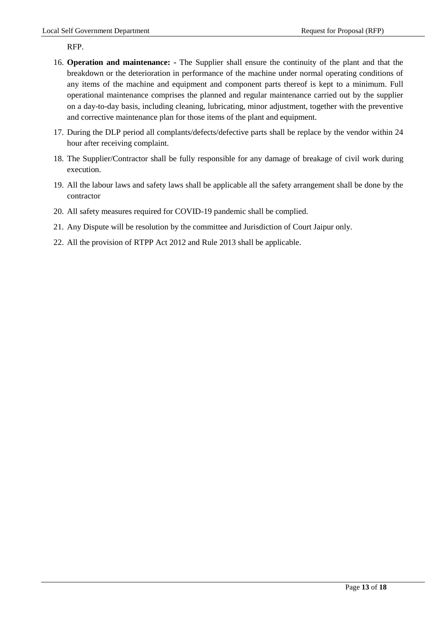RFP.

- 16. **Operation and maintenance: -** The Supplier shall ensure the continuity of the plant and that the breakdown or the deterioration in performance of the machine under normal operating conditions of any items of the machine and equipment and component parts thereof is kept to a minimum. Full operational maintenance comprises the planned and regular maintenance carried out by the supplier on a day-to-day basis, including cleaning, lubricating, minor adjustment, together with the preventive and corrective maintenance plan for those items of the plant and equipment.
- 17. During the DLP period all complants/defects/defective parts shall be replace by the vendor within 24 hour after receiving complaint.
- 18. The Supplier/Contractor shall be fully responsible for any damage of breakage of civil work during execution.
- 19. All the labour laws and safety laws shall be applicable all the safety arrangement shall be done by the contractor
- 20. All safety measures required for COVID-19 pandemic shall be complied.
- 21. Any Dispute will be resolution by the committee and Jurisdiction of Court Jaipur only.
- 22. All the provision of RTPP Act 2012 and Rule 2013 shall be applicable.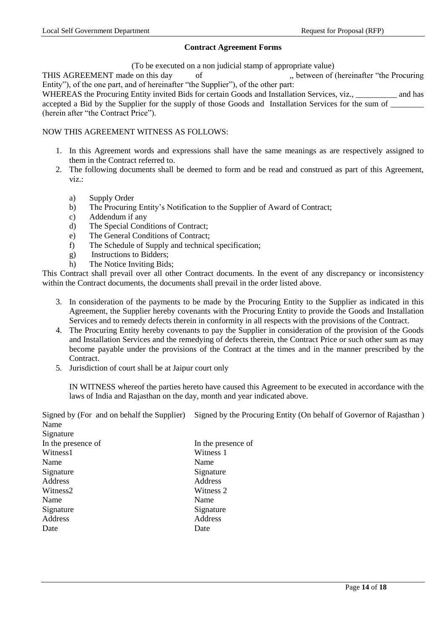## **Contract Agreement Forms**

(To be executed on a non judicial stamp of appropriate value)

THIS AGREEMENT made on this day of  $\qquad \qquad$ , between of (hereinafter "the Procuring") Entity"), of the one part, and of hereinafter "the Supplier"), of the other part:

WHEREAS the Procuring Entity invited Bids for certain Goods and Installation Services, viz., and has accepted a Bid by the Supplier for the supply of those Goods and Installation Services for the sum of (herein after "the Contract Price").

## NOW THIS AGREEMENT WITNESS AS FOLLOWS:

- 1. In this Agreement words and expressions shall have the same meanings as are respectively assigned to them in the Contract referred to.
- 2. The following documents shall be deemed to form and be read and construed as part of this Agreement, viz.:
	- a) Supply Order
	- b) The Procuring Entity"s Notification to the Supplier of Award of Contract;
	- c) Addendum if any
	- d) The Special Conditions of Contract;
	- e) The General Conditions of Contract;
	- f) The Schedule of Supply and technical specification;
	- g) Instructions to Bidders;
	- h) The Notice Inviting Bids;

This Contract shall prevail over all other Contract documents. In the event of any discrepancy or inconsistency within the Contract documents, the documents shall prevail in the order listed above.

- 3. In consideration of the payments to be made by the Procuring Entity to the Supplier as indicated in this Agreement, the Supplier hereby covenants with the Procuring Entity to provide the Goods and Installation Services and to remedy defects therein in conformity in all respects with the provisions of the Contract.
- 4. The Procuring Entity hereby covenants to pay the Supplier in consideration of the provision of the Goods and Installation Services and the remedying of defects therein, the Contract Price or such other sum as may become payable under the provisions of the Contract at the times and in the manner prescribed by the Contract.
- 5. Jurisdiction of court shall be at Jaipur court only

IN WITNESS whereof the parties hereto have caused this Agreement to be executed in accordance with the laws of India and Rajasthan on the day, month and year indicated above.

Signed by (For and on behalf the Supplier) Signed by the Procuring Entity (On behalf of Governor of Rajasthan ) Name  $\mathbf{S}$  signature  $\mathbf{S}$ 

| Signature            |                    |
|----------------------|--------------------|
| In the presence of   | In the presence of |
| Witness1             | Witness 1          |
| Name                 | Name               |
| Signature            | Signature          |
| Address              | Address            |
| Witness <sub>2</sub> | Witness 2          |
| Name                 | Name               |
| Signature            | Signature          |
| Address              | Address            |
| Date                 | Date               |
|                      |                    |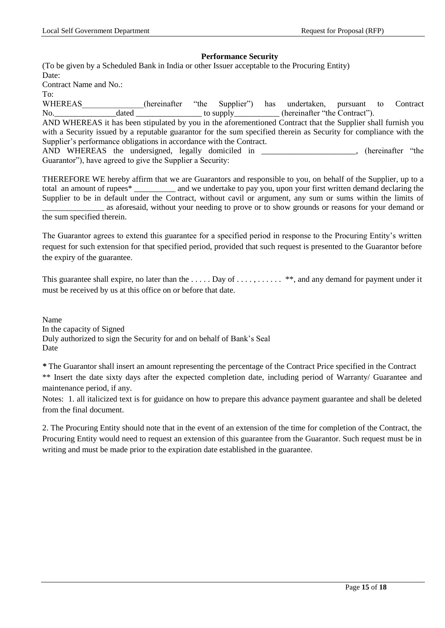### **Performance Security**

(To be given by a Scheduled Bank in India or other Issuer acceptable to the Procuring Entity) Date: Contract Name and No.: To:

WHEREAS\_\_\_\_\_\_\_\_\_\_\_\_\_\_\_(hereinafter "the Supplier") has undertaken, pursuant to Contract No.\_\_\_\_\_\_\_\_\_\_\_\_\_\_\_dated \_\_\_\_\_\_\_\_\_\_\_\_\_\_\_\_ to supply\_\_\_\_\_\_\_\_\_\_\_ (hereinafter "the Contract"). AND WHEREAS it has been stipulated by you in the aforementioned Contract that the Supplier shall furnish you with a Security issued by a reputable guarantor for the sum specified therein as Security for compliance with the Supplier"s performance obligations in accordance with the Contract. AND WHEREAS the undersigned, legally domiciled in \_\_\_\_\_\_\_\_\_\_\_\_\_\_\_\_\_\_\_\_\_\_\_, (hereinafter "the Guarantor"), have agreed to give the Supplier a Security:

THEREFORE WE hereby affirm that we are Guarantors and responsible to you, on behalf of the Supplier, up to a total an amount of rupees\* \_\_\_\_\_\_\_\_\_\_ and we undertake to pay you, upon your first written demand declaring the Supplier to be in default under the Contract, without cavil or argument, any sum or sums within the limits of \_\_\_\_\_\_\_\_\_\_\_\_\_\_\_ as aforesaid, without your needing to prove or to show grounds or reasons for your demand or the sum specified therein.

The Guarantor agrees to extend this guarantee for a specified period in response to the Procuring Entity"s written request for such extension for that specified period, provided that such request is presented to the Guarantor before the expiry of the guarantee.

This guarantee shall expire, no later than the .... Day of ...., .... . \*\*, and any demand for payment under it must be received by us at this office on or before that date.

Name In the capacity of Signed Duly authorized to sign the Security for and on behalf of Bank"s Seal Date

*\** The Guarantor shall insert an amount representing the percentage of the Contract Price specified in the Contract \*\* Insert the date sixty days after the expected completion date, including period of Warranty/ Guarantee and maintenance period, if any.

Notes: 1. all italicized text is for guidance on how to prepare this advance payment guarantee and shall be deleted from the final document.

2. The Procuring Entity should note that in the event of an extension of the time for completion of the Contract, the Procuring Entity would need to request an extension of this guarantee from the Guarantor. Such request must be in writing and must be made prior to the expiration date established in the guarantee.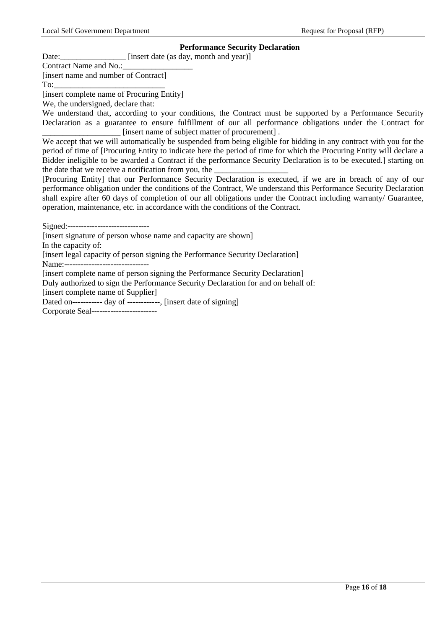## **Performance Security Declaration**

Date: [insert date (as day, month and year)]

Contract Name and No.:

[insert name and number of Contract] To:

[insert complete name of Procuring Entity]

We, the undersigned, declare that:

We understand that, according to your conditions, the Contract must be supported by a Performance Security Declaration as a guarantee to ensure fulfillment of our all performance obligations under the Contract for [insert name of subject matter of procurement].

We accept that we will automatically be suspended from being eligible for bidding in any contract with you for the period of time of [Procuring Entity to indicate here the period of time for which the Procuring Entity will declare a Bidder ineligible to be awarded a Contract if the performance Security Declaration is to be executed.] starting on the date that we receive a notification from you, the

[Procuring Entity] that our Performance Security Declaration is executed, if we are in breach of any of our performance obligation under the conditions of the Contract, We understand this Performance Security Declaration shall expire after 60 days of completion of our all obligations under the Contract including warranty/ Guarantee, operation, maintenance, etc. in accordance with the conditions of the Contract.

Signed:------------------------------

[insert signature of person whose name and capacity are shown]

In the capacity of:

[insert legal capacity of person signing the Performance Security Declaration]

Name:---------------

[insert complete name of person signing the Performance Security Declaration]

Duly authorized to sign the Performance Security Declaration for and on behalf of: [insert complete name of Supplier]

Dated on------------ day of ------------, [insert date of signing]

Corporate Seal------------------------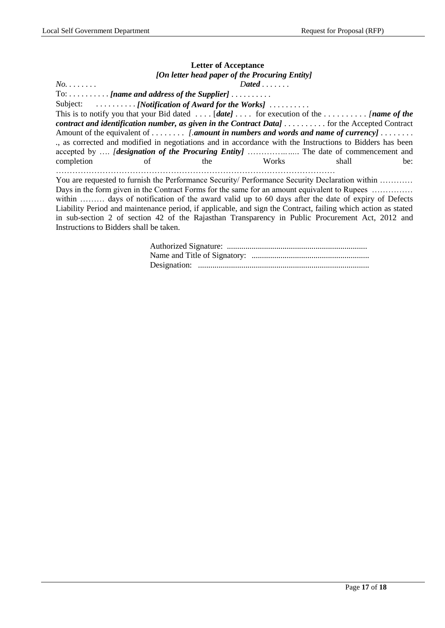## **Letter of Acceptance** *[On letter head paper of the Procuring Entity] No. . . . . . . . Dated . . . . . . .* To: . . . . . . . . . . *[name and address of the Supplier]* . . . . . . . . . . Subject:  $\ldots \ldots \ldots$  *[Notification of Award for the Works]* ......... This is to notify you that your Bid dated . . . . [*date]* . . . . for execution of the *. . . . . . . . . . [name of the contract and identification number, as given in the Contract Data] . . . . . . . . . .* for the Accepted Contract Amount of the equivalent of *. . . . . . . . [.amount in numbers and words and name of currency] . . . . . . . . .*, as corrected and modified in negotiations and in accordance with the Instructions to Bidders has been accepted by …. *[designation of the Procuring Entity]* …………*…….*. The date of commencement and completion of the Works shall be: ………………………………………………………………………………………… You are requested to furnish the Performance Security/ Performance Security Declaration within ………… Days in the form given in the Contract Forms for the same for an amount equivalent to Rupees …………… within ……… days of notification of the award valid up to 60 days after the date of expiry of Defects

Liability Period and maintenance period, if applicable, and sign the Contract, failing which action as stated in sub-section 2 of section 42 of the Rajasthan Transparency in Public Procurement Act, 2012 and Instructions to Bidders shall be taken.